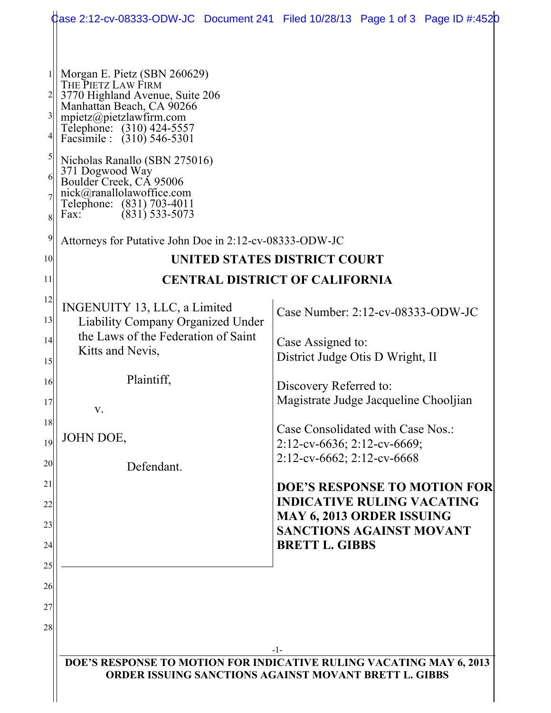|                                                             | Case 2:12-cv-08333-ODW-JC Document 241 Filed 10/28/13 Page 1 of 3 Page ID #:4520                                                                                                                                                                                                                                                                                      |       |                                                                                                                                                                          |  |
|-------------------------------------------------------------|-----------------------------------------------------------------------------------------------------------------------------------------------------------------------------------------------------------------------------------------------------------------------------------------------------------------------------------------------------------------------|-------|--------------------------------------------------------------------------------------------------------------------------------------------------------------------------|--|
| $\overline{3}$<br>6<br>$\text{Fax:}$<br>8<br>$\overline{9}$ | Morgan E. Pietz (SBN 260629)<br>THE PIETZ LAW FIRM<br>3770 Highland Avenue, Suite 206<br>Manhattan Beach, CA 90266<br>mpietz@pietzlawfirm.com<br>Telephone: (310) 424-5557<br>Facsimile : (310) 546-5301<br>Nicholas Ranallo (SBN 275016)<br>371 Dogwood Way<br>Boulder Creek, CA 95006<br>nick@ranallolawoffice.com<br>Telephone: (831) 703-4011<br>$(831)$ 533-5073 |       |                                                                                                                                                                          |  |
|                                                             | Attorneys for Putative John Doe in 2:12-cv-08333-ODW-JC                                                                                                                                                                                                                                                                                                               |       |                                                                                                                                                                          |  |
| 10                                                          |                                                                                                                                                                                                                                                                                                                                                                       |       | UNITED STATES DISTRICT COURT                                                                                                                                             |  |
| 11                                                          |                                                                                                                                                                                                                                                                                                                                                                       |       | <b>CENTRAL DISTRICT OF CALIFORNIA</b>                                                                                                                                    |  |
| 12<br>13                                                    | INGENUITY 13, LLC, a Limited                                                                                                                                                                                                                                                                                                                                          |       | Case Number: $2:12$ -cv-08333-ODW-JC                                                                                                                                     |  |
| 4                                                           | <b>Liability Company Organized Under</b><br>the Laws of the Federation of Saint<br>Kitts and Nevis,                                                                                                                                                                                                                                                                   |       | Case Assigned to:<br>District Judge Otis D Wright, II                                                                                                                    |  |
| 15<br>16<br>17<br>V.                                        | Plaintiff,                                                                                                                                                                                                                                                                                                                                                            |       | Discovery Referred to:<br>Magistrate Judge Jacqueline Chooljian                                                                                                          |  |
| 18<br>JOHN DOE,<br>19<br>20 <sub>l</sub>                    | Defendant.                                                                                                                                                                                                                                                                                                                                                            |       | Case Consolidated with Case Nos.:<br>$2:12$ -cv-6636; 2:12-cv-6669;<br>$2:12$ -cv-6662; 2:12-cv-6668                                                                     |  |
| 21<br>22<br>23<br>24                                        |                                                                                                                                                                                                                                                                                                                                                                       |       | <b>DOE'S RESPONSE TO MOTION FOR</b><br><b>INDICATIVE RULING VACATING</b><br><b>MAY 6, 2013 ORDER ISSUING</b><br><b>SANCTIONS AGAINST MOVANT</b><br><b>BRETT L. GIBBS</b> |  |
| 25<br>26                                                    |                                                                                                                                                                                                                                                                                                                                                                       |       |                                                                                                                                                                          |  |
| 27<br>28                                                    |                                                                                                                                                                                                                                                                                                                                                                       |       |                                                                                                                                                                          |  |
|                                                             | DOE'S RESPONSE TO MOTION FOR INDICATIVE RULING VACATING MAY 6, 2013<br><b>ORDER ISSUING SANCTIONS AGAINST MOVANT BRETT L. GIBBS</b>                                                                                                                                                                                                                                   | $-1-$ |                                                                                                                                                                          |  |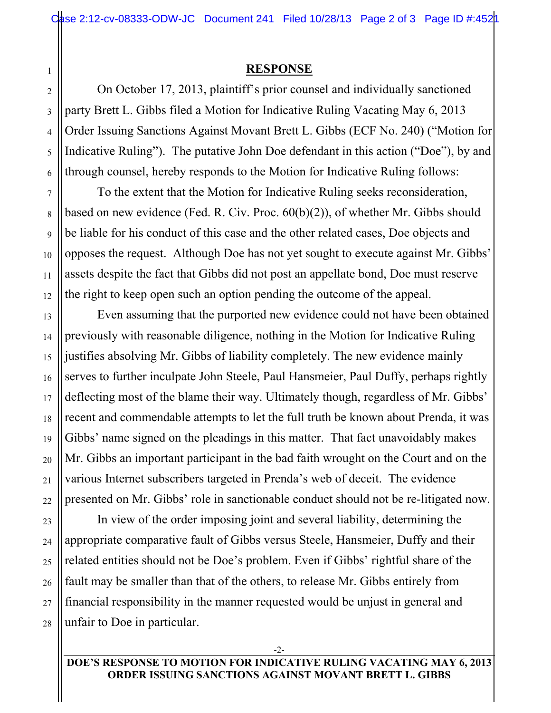## **RESPONSE**

On October 17, 2013, plaintiff's prior counsel and individually sanctioned party Brett L. Gibbs filed a Motion for Indicative Ruling Vacating May 6, 2013 Order Issuing Sanctions Against Movant Brett L. Gibbs (ECF No. 240) ("Motion for Indicative Ruling"). The putative John Doe defendant in this action ("Doe"), by and through counsel, hereby responds to the Motion for Indicative Ruling follows:

To the extent that the Motion for Indicative Ruling seeks reconsideration, based on new evidence (Fed. R. Civ. Proc. 60(b)(2)), of whether Mr. Gibbs should be liable for his conduct of this case and the other related cases, Doe objects and opposes the request. Although Doe has not yet sought to execute against Mr. Gibbs' assets despite the fact that Gibbs did not post an appellate bond, Doe must reserve the right to keep open such an option pending the outcome of the appeal.

Even assuming that the purported new evidence could not have been obtained previously with reasonable diligence, nothing in the Motion for Indicative Ruling justifies absolving Mr. Gibbs of liability completely. The new evidence mainly serves to further inculpate John Steele, Paul Hansmeier, Paul Duffy, perhaps rightly deflecting most of the blame their way. Ultimately though, regardless of Mr. Gibbs' recent and commendable attempts to let the full truth be known about Prenda, it was Gibbs' name signed on the pleadings in this matter. That fact unavoidably makes Mr. Gibbs an important participant in the bad faith wrought on the Court and on the various Internet subscribers targeted in Prenda's web of deceit. The evidence presented on Mr. Gibbs' role in sanctionable conduct should not be re-litigated now.

In view of the order imposing joint and several liability, determining the appropriate comparative fault of Gibbs versus Steele, Hansmeier, Duffy and their related entities should not be Doe's problem. Even if Gibbs' rightful share of the fault may be smaller than that of the others, to release Mr. Gibbs entirely from financial responsibility in the manner requested would be unjust in general and unfair to Doe in particular.

-2-